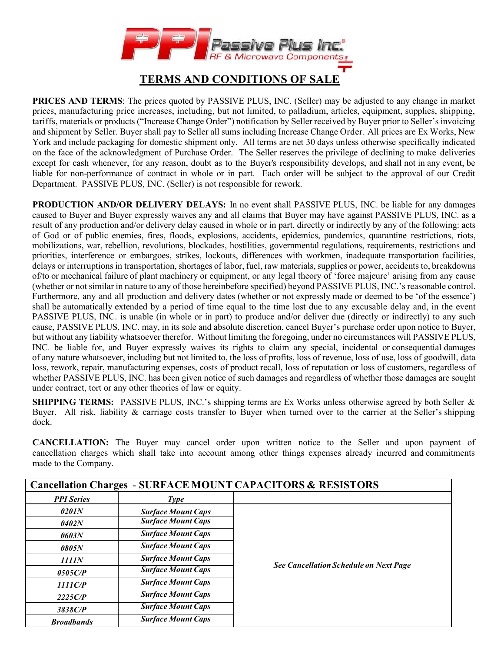

## **TERMS AND CONDITIONS OF SALE**

**PRICES AND TERMS:** The prices quoted by PASSIVE PLUS, INC. (Seller) may be adjusted to any change in market prices, manufacturing price increases, including, but not limited, to palladium, articles, equipment, supplies, shipping, tariffs, materials or products ("Increase Change Order") notification by Seller received by Buyer prior to Seller's invoicing and shipment by Seller. Buyer shall pay to Seller all sums including Increase Change Order. All prices are Ex Works, New York and include packaging for domestic shipment only. All terms are net 30 days unless otherwise specifically indicated on the face of the acknowledgment of Purchase Order. The Seller reserves the privilege of declining to make deliveries except for cash whenever, for any reason, doubt as to the Buyer's responsibility develops, and shall not in any event, be liable for non-performance of contract in whole or in part. Each order will be subject to the approval of our Credit Department. PASSIVE PLUS, INC. (Seller) is not responsible for rework.

**PRODUCTION AND/OR DELIVERY DELAYS:** In no event shall PASSIVE PLUS, INC. be liable for any damages caused to Buyer and Buyer expressly waives any and all claims that Buyer may have against PASSIVE PLUS, INC. as a result of any production and/or delivery delay caused in whole or in part, directly or indirectly by any of the following: acts of God or of public enemies, fires, floods, explosions, accidents, epidemics, pandemics, quarantine restrictions, riots, mobilizations, war, rebellion, revolutions, blockades, hostilities, governmental regulations, requirements, restrictions and priorities, interference or embargoes, strikes, lockouts, differences with workmen, inadequate transportation facilities, delays or interruptions in transportation, shortages of labor, fuel, raw materials, supplies or power, accidents to, breakdowns of/to or mechanical failure of plant machinery or equipment, or any legal theory of 'force majeure' arising from any cause (whether or not similar in nature to any of those hereinbefore specified) beyond PASSIVE PLUS, INC.'s reasonable control. Furthermore, any and all production and delivery dates (whether or not expressly made or deemed to be 'of the essence') shall be automatically extended by a period of time equal to the time lost due to any excusable delay and, in the event PASSIVE PLUS, INC. is unable (in whole or in part) to produce and/or deliver due (directly or indirectly) to any such cause, PASSIVE PLUS, INC. may, in its sole and absolute discretion, cancel Buyer's purchase order upon notice to Buyer, but without any liability whatsoever therefor. Without limiting the foregoing, under no circumstances will PASSIVE PLUS, INC. be liable for, and Buyer expressly waives its rights to claim any special, incidental or consequential damages of any nature whatsoever, including but not limited to, the loss of profits, loss of revenue, loss of use, loss of goodwill, data loss, rework, repair, manufacturing expenses, costs of product recall, loss of reputation or loss of customers, regardless of whether PASSIVE PLUS, INC. has been given notice of such damages and regardless of whether those damages are sought under contract, tort or any other theories of law or equity.

**SHIPPING TERMS:** PASSIVE PLUS, INC.'s shipping terms are Ex Works unless otherwise agreed by both Seller & Buyer. All risk, liability  $\&$  carriage costs transfer to Buyer when turned over to the carrier at the Seller's shipping dock.

**CANCELLATION:** The Buyer may cancel order upon written notice to the Seller and upon payment of cancellation charges which shall take into account among other things expenses already incurred and commitments made to the Company.

| <b>Cancellation Charges - SURFACE MOUNT CAPACITORS &amp; RESISTORS</b> |                           |                                               |  |  |
|------------------------------------------------------------------------|---------------------------|-----------------------------------------------|--|--|
| <b>PPI</b> Series                                                      | <b>Type</b>               |                                               |  |  |
| 0201N                                                                  | <b>Surface Mount Caps</b> |                                               |  |  |
| 0402N                                                                  | <b>Surface Mount Caps</b> |                                               |  |  |
| 0603N                                                                  | <b>Surface Mount Caps</b> |                                               |  |  |
| 0805N                                                                  | <b>Surface Mount Caps</b> | <b>See Cancellation Schedule on Next Page</b> |  |  |
| 1111N                                                                  | <b>Surface Mount Caps</b> |                                               |  |  |
| 0505C/P                                                                | <b>Surface Mount Caps</b> |                                               |  |  |
| 1111CP                                                                 | <b>Surface Mount Caps</b> |                                               |  |  |
| 2225C/P                                                                | <b>Surface Mount Caps</b> |                                               |  |  |
| 3838C/P                                                                | <b>Surface Mount Caps</b> |                                               |  |  |
| <b>Broadbands</b>                                                      | <b>Surface Mount Caps</b> |                                               |  |  |